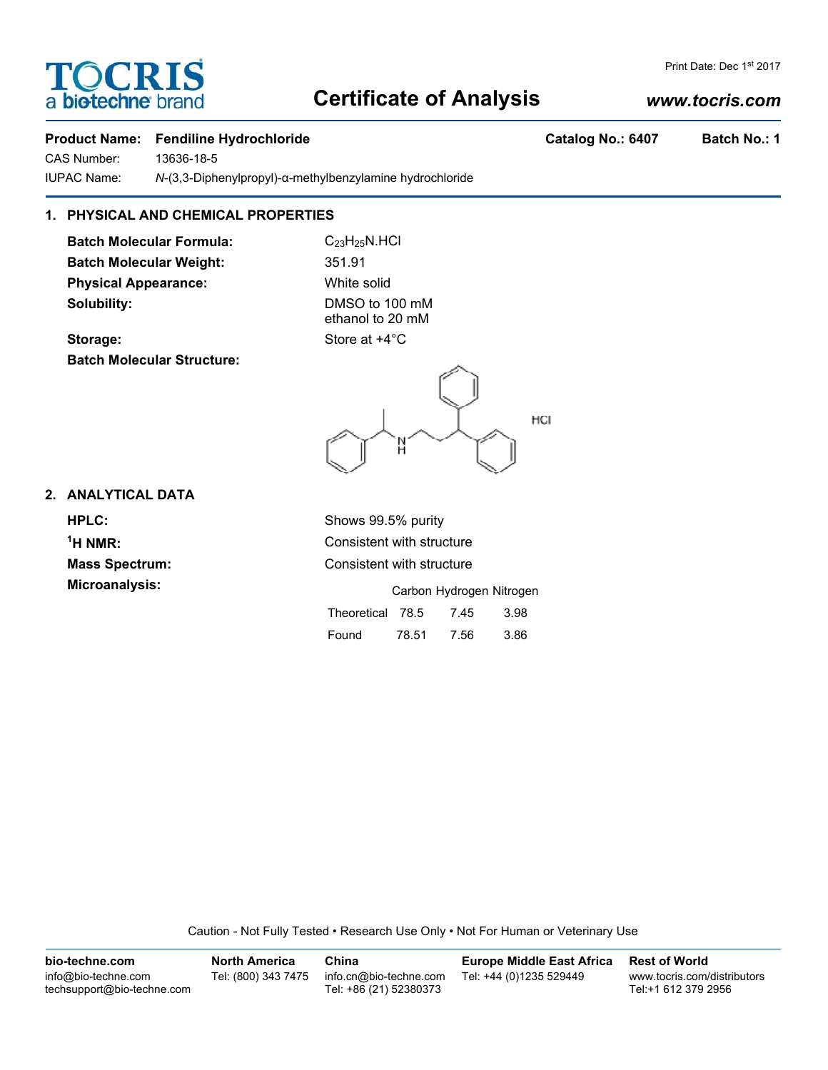# **Certificate of Analysis**

# *www.tocris.com*

# Product Name: Fendiline Hydrochloride **Catalog No.: 6407** Batch No.: 1

CAS Number: 13636-18-5 IUPAC Name: *N*-(3,3-Diphenylpropyl)-α-methylbenzylamine hydrochloride

# **1. PHYSICAL AND CHEMICAL PROPERTIES**

**Batch Molecular Formula:** C<sub>23</sub>H<sub>25</sub>N.HCl Batch Molecular Weight: 351.91 **Physical Appearance:** White solid **Solubility:** DMSO to 100 mM

**TOCRIS** 

a biotechne

ethanol to 20 mM

**Storage:** Store at  $+4^{\circ}$ C **Batch Molecular Structure:**



## **2. ANALYTICAL DATA**

**HPLC:** Shows 99.5% purity  $<sup>1</sup>H NMR$ :</sup> **Microanalysis:** 

**Consistent with structure Mass Spectrum:** Consistent with structure

|                  |       | Carbon Hydrogen Nitroger |      |
|------------------|-------|--------------------------|------|
| Theoretical 78.5 |       | 7.45                     | 3.98 |
| Found            | 78.51 | 7.56                     | 3.86 |

Caution - Not Fully Tested • Research Use Only • Not For Human or Veterinary Use

| bio-techne.com                                    | <b>North America</b> | China                                            | Europe Middle East Africa | <b>Rest of World</b>                               |
|---------------------------------------------------|----------------------|--------------------------------------------------|---------------------------|----------------------------------------------------|
| info@bio-techne.com<br>techsupport@bio-techne.com | Tel: (800) 343 7475  | info.cn@bio-techne.com<br>Tel: +86 (21) 52380373 | Tel: +44 (0)1235 529449   | www.tocris.com/distributors<br>Tel:+1 612 379 2956 |

Print Date: Dec 1st 2017